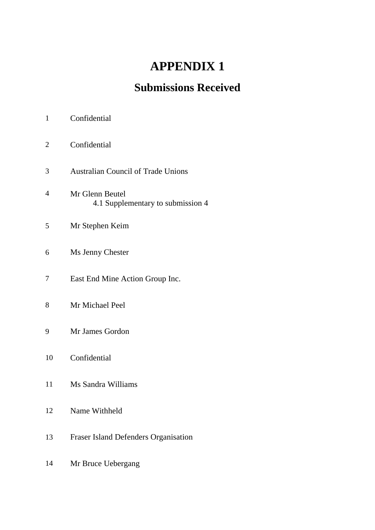# **APPENDIX 1**

## **Submissions Received**

- Confidential
- Australian Council of Trade Unions
- Mr Glenn Beutel 4.1 Supplementary to submission 4
- Mr Stephen Keim
- Ms Jenny Chester
- East End Mine Action Group Inc.
- Mr Michael Peel
- Mr James Gordon
- Confidential
- Ms Sandra Williams
- Name Withheld
- Fraser Island Defenders Organisation
- Mr Bruce Uebergang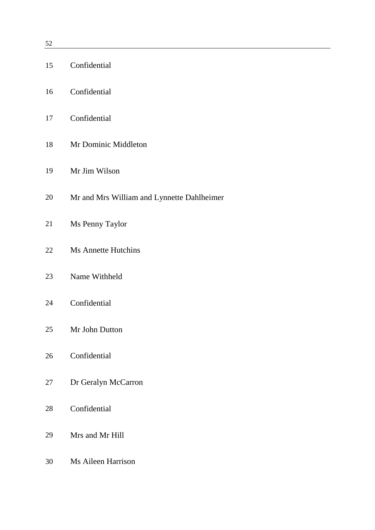|    | 15 Confidential                            |
|----|--------------------------------------------|
|    | 16 Confidential                            |
|    | 17 Confidential                            |
| 18 | Mr Dominic Middleton                       |
| 19 | Mr Jim Wilson                              |
| 20 | Mr and Mrs William and Lynnette Dahlheimer |
| 21 | Ms Penny Taylor                            |
| 22 | <b>Ms Annette Hutchins</b>                 |
| 23 | Name Withheld                              |
| 24 | Confidential                               |
| 25 | Mr John Dutton                             |
| 26 | Confidential                               |
| 27 | Dr Geralyn McCarron                        |
| 28 | Confidential                               |
| 29 | Mrs and Mr Hill                            |
| 30 | Ms Aileen Harrison                         |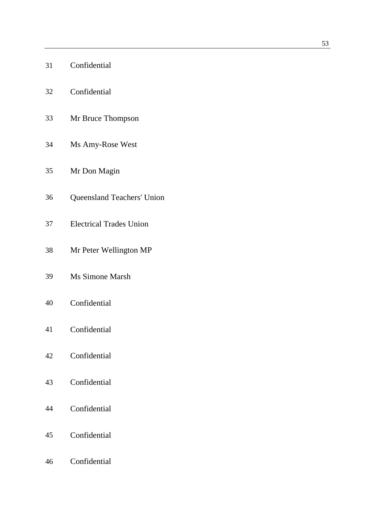| 31 | Confidential |
|----|--------------|
|    |              |

- Confidential
- Mr Bruce Thompson
- Ms Amy-Rose West
- Mr Don Magin
- Queensland Teachers' Union
- Electrical Trades Union
- Mr Peter Wellington MP
- Ms Simone Marsh
- Confidential
- Confidential
- Confidential
- Confidential
- Confidential
- Confidential
- Confidential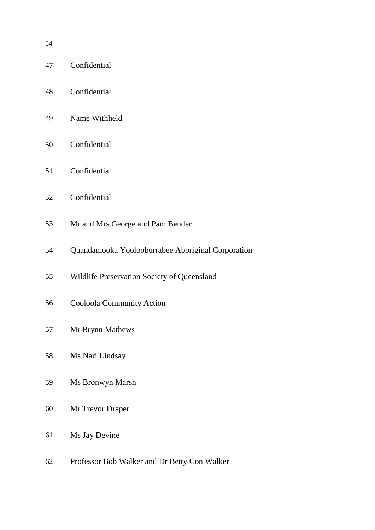| 47 | Confidential                                      |
|----|---------------------------------------------------|
| 48 | Confidential                                      |
| 49 | Name Withheld                                     |
| 50 | Confidential                                      |
| 51 | Confidential                                      |
| 52 | Confidential                                      |
| 53 | Mr and Mrs George and Pam Bender                  |
| 54 | Quandamooka Yoolooburrabee Aboriginal Corporation |
| 55 | Wildlife Preservation Society of Queensland       |
| 56 | Cooloola Community Action                         |
| 57 | Mr Brynn Mathews                                  |
| 58 | Ms Nari Lindsay                                   |
| 59 | Ms Bronwyn Marsh                                  |
| 60 | Mr Trevor Draper                                  |
| 61 | Ms Jay Devine                                     |
| 62 | Professor Bob Walker and Dr Betty Con Walker      |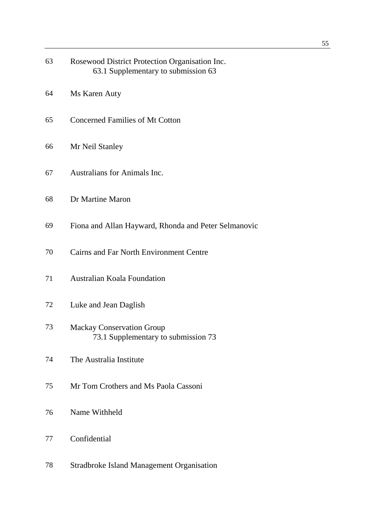| 63       | Rosewood District Protection Organisation Inc.<br>63.1 Supplementary to submission 63 |
|----------|---------------------------------------------------------------------------------------|
| 64       | Ms Karen Auty                                                                         |
| 65       | <b>Concerned Families of Mt Cotton</b>                                                |
| 66       | Mr Neil Stanley                                                                       |
| 67       | <b>Australians for Animals Inc.</b>                                                   |
| 68       | Dr Martine Maron                                                                      |
| 69       | Fiona and Allan Hayward, Rhonda and Peter Selmanovic                                  |
| 70<br>71 | <b>Cairns and Far North Environment Centre</b><br><b>Australian Koala Foundation</b>  |
| 72       | Luke and Jean Daglish                                                                 |
| 73       | <b>Mackay Conservation Group</b><br>73.1 Supplementary to submission 73               |
| 74       | The Australia Institute                                                               |
| 75       | Mr Tom Crothers and Ms Paola Cassoni                                                  |
| 76       | Name Withheld                                                                         |
| 77       | Confidential                                                                          |
| 78       | Stradbroke Island Management Organisation                                             |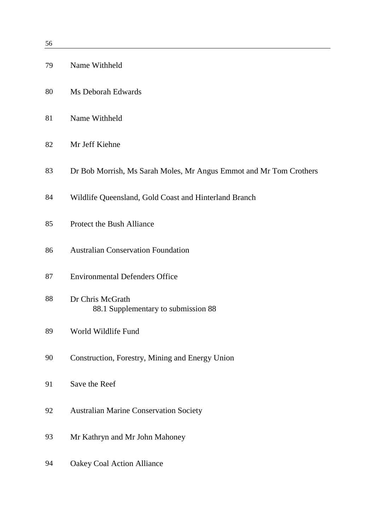| 79 | Name Withheld                                                      |
|----|--------------------------------------------------------------------|
| 80 | Ms Deborah Edwards                                                 |
| 81 | Name Withheld                                                      |
| 82 | Mr Jeff Kiehne                                                     |
| 83 | Dr Bob Morrish, Ms Sarah Moles, Mr Angus Emmot and Mr Tom Crothers |
| 84 | Wildlife Queensland, Gold Coast and Hinterland Branch              |
| 85 | <b>Protect the Bush Alliance</b>                                   |
| 86 | <b>Australian Conservation Foundation</b>                          |
| 87 | <b>Environmental Defenders Office</b>                              |
| 88 | Dr Chris McGrath<br>88.1 Supplementary to submission 88            |
| 89 | World Wildlife Fund                                                |
| 90 | Construction, Forestry, Mining and Energy Union                    |
| 91 | Save the Reef                                                      |
| 92 | <b>Australian Marine Conservation Society</b>                      |
| 93 | Mr Kathryn and Mr John Mahoney                                     |
| 94 | <b>Oakey Coal Action Alliance</b>                                  |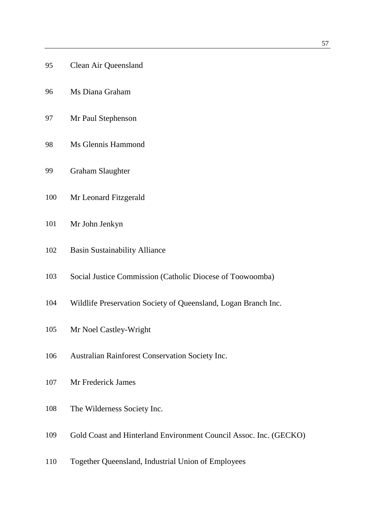- Clean Air Queensland
- Ms Diana Graham
- Mr Paul Stephenson
- Ms Glennis Hammond
- Graham Slaughter
- Mr Leonard Fitzgerald
- Mr John Jenkyn
- Basin Sustainability Alliance
- Social Justice Commission (Catholic Diocese of Toowoomba)
- Wildlife Preservation Society of Queensland, Logan Branch Inc.
- Mr Noel Castley-Wright
- Australian Rainforest Conservation Society Inc.
- Mr Frederick James
- The Wilderness Society Inc.
- Gold Coast and Hinterland Environment Council Assoc. Inc. (GECKO)
- Together Queensland, Industrial Union of Employees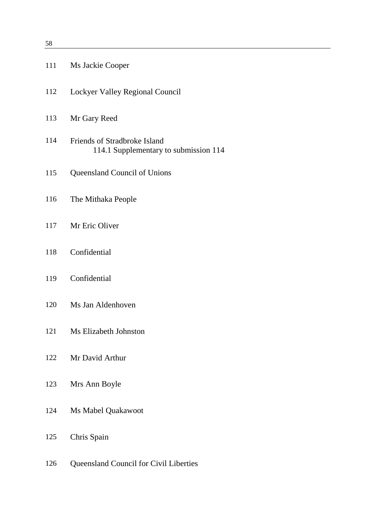| 111 | Ms Jackie Cooper                                                      |
|-----|-----------------------------------------------------------------------|
| 112 | Lockyer Valley Regional Council                                       |
| 113 | Mr Gary Reed                                                          |
| 114 | Friends of Stradbroke Island<br>114.1 Supplementary to submission 114 |
| 115 | Queensland Council of Unions                                          |
| 116 | The Mithaka People                                                    |
| 117 | Mr Eric Oliver                                                        |
| 118 | Confidential                                                          |
| 119 | Confidential                                                          |
| 120 | Ms Jan Aldenhoven                                                     |
| 121 | Ms Elizabeth Johnston                                                 |
| 122 | Mr David Arthur                                                       |
| 123 | Mrs Ann Boyle                                                         |
| 124 | Ms Mabel Quakawoot                                                    |
| 125 | Chris Spain                                                           |
| 126 | <b>Queensland Council for Civil Liberties</b>                         |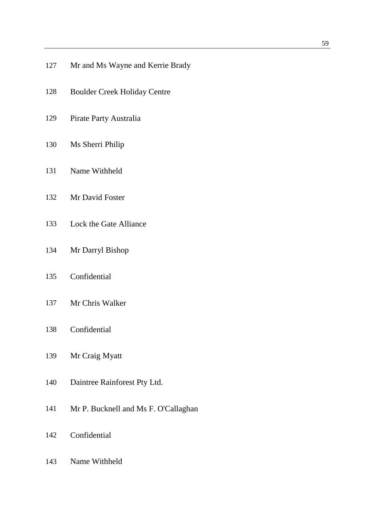- Boulder Creek Holiday Centre
- Pirate Party Australia
- Ms Sherri Philip
- Name Withheld
- Mr David Foster
- Lock the Gate Alliance
- Mr Darryl Bishop
- Confidential
- Mr Chris Walker
- Confidential
- Mr Craig Myatt
- Daintree Rainforest Pty Ltd.
- Mr P. Bucknell and Ms F. O'Callaghan
- Confidential
- Name Withheld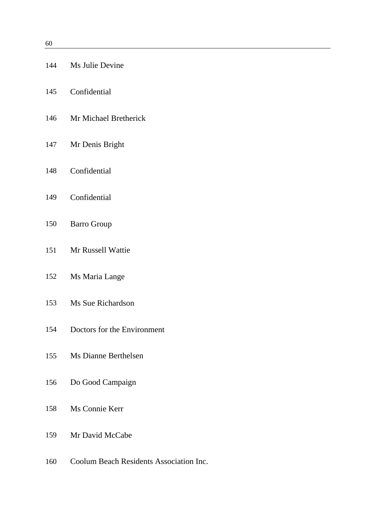|     | 144 Ms Julie Devine         |
|-----|-----------------------------|
|     | 145 Confidential            |
|     | 146 Mr Michael Bretherick   |
|     | 147 Mr Denis Bright         |
|     | 148 Confidential            |
|     | 149 Confidential            |
|     | 150 Barro Group             |
|     | 151 Mr Russell Wattie       |
|     | 152 Ms Maria Lange          |
|     | 153 Ms Sue Richardson       |
| 154 | Doctors for the Environment |
|     | 155 Ms Dianne Berthelsen    |
|     | 156 Do Good Campaign        |
|     | 158 Ms Connie Kerr          |
|     | 159 Mr David McCabe         |
|     |                             |

Coolum Beach Residents Association Inc.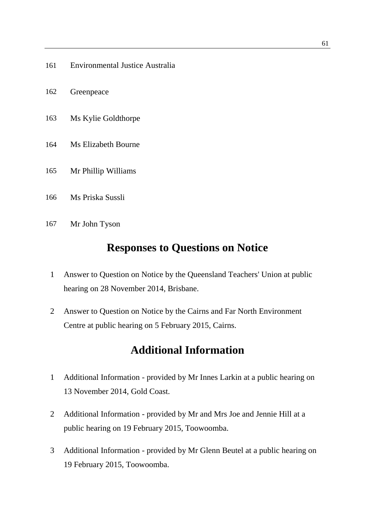- Environmental Justice Australia
- Greenpeace
- Ms Kylie Goldthorpe
- Ms Elizabeth Bourne
- Mr Phillip Williams
- Ms Priska Sussli
- Mr John Tyson

#### **Responses to Questions on Notice**

- Answer to Question on Notice by the Queensland Teachers' Union at public hearing on 28 November 2014, Brisbane.
- Answer to Question on Notice by the Cairns and Far North Environment Centre at public hearing on 5 February 2015, Cairns.

### **Additional Information**

- Additional Information provided by Mr Innes Larkin at a public hearing on 13 November 2014, Gold Coast.
- Additional Information provided by Mr and Mrs Joe and Jennie Hill at a public hearing on 19 February 2015, Toowoomba.
- Additional Information provided by Mr Glenn Beutel at a public hearing on 19 February 2015, Toowoomba.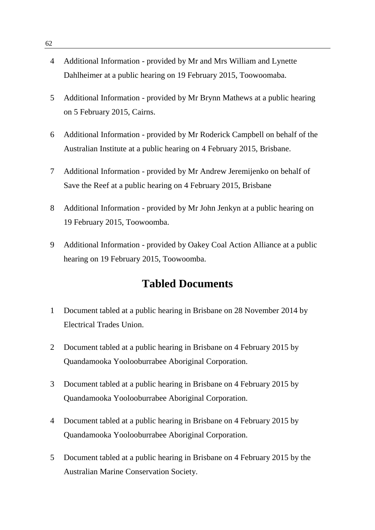- 4 Additional Information provided by Mr and Mrs William and Lynette Dahlheimer at a public hearing on 19 February 2015, Toowoomaba.
- 5 Additional Information provided by Mr Brynn Mathews at a public hearing on 5 February 2015, Cairns.
- 6 Additional Information provided by Mr Roderick Campbell on behalf of the Australian Institute at a public hearing on 4 February 2015, Brisbane.
- 7 Additional Information provided by Mr Andrew Jeremijenko on behalf of Save the Reef at a public hearing on 4 February 2015, Brisbane
- 8 Additional Information provided by Mr John Jenkyn at a public hearing on 19 February 2015, Toowoomba.
- 9 Additional Information provided by Oakey Coal Action Alliance at a public hearing on 19 February 2015, Toowoomba.

#### **Tabled Documents**

- 1 Document tabled at a public hearing in Brisbane on 28 November 2014 by Electrical Trades Union.
- 2 Document tabled at a public hearing in Brisbane on 4 February 2015 by Quandamooka Yoolooburrabee Aboriginal Corporation.
- 3 Document tabled at a public hearing in Brisbane on 4 February 2015 by Quandamooka Yoolooburrabee Aboriginal Corporation.
- 4 Document tabled at a public hearing in Brisbane on 4 February 2015 by Quandamooka Yoolooburrabee Aboriginal Corporation.
- 5 Document tabled at a public hearing in Brisbane on 4 February 2015 by the Australian Marine Conservation Society.